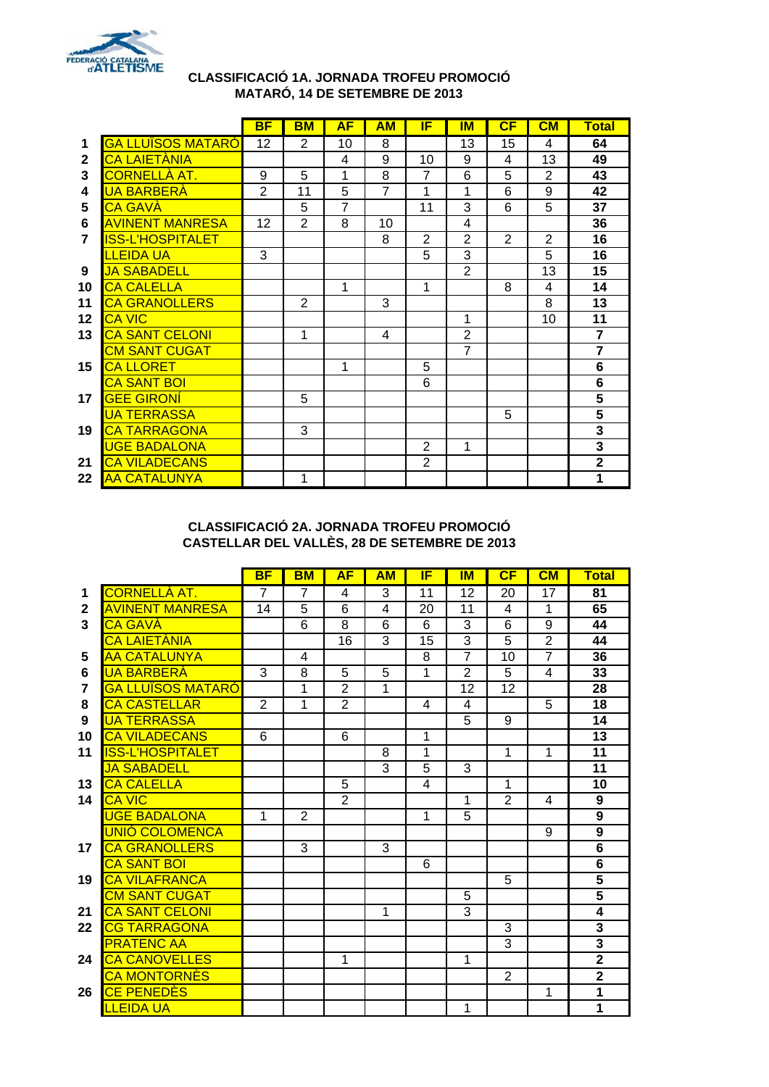

#### **CLASSIFICACIÓ 1A. JORNADA TROFEU PROMOCIÓ MATARÓ, 14 DE SETEMBRE DE 2013**

|                |                          | <b>BF</b>      | BM             | <b>AF</b>      | AM             | IF             | ΙM             | CF             | CM             | <b>Total</b>            |
|----------------|--------------------------|----------------|----------------|----------------|----------------|----------------|----------------|----------------|----------------|-------------------------|
| 1              | <b>GA LLUÏSOS MATARÓ</b> | 12             | $\overline{2}$ | 10             | 8              |                | 13             | 15             | 4              | 64                      |
| $\mathbf{2}$   | <b>CA LAIETÀNIA</b>      |                |                | 4              | 9              | 10             | 9              | 4              | 13             | 49                      |
| 3              | <u>CORNELLÀ AT.</u>      | 9              | 5              | 1              | 8              | $\overline{7}$ | 6              | 5              | $\overline{2}$ | 43                      |
| 4              | <b>UA BARBERÀ</b>        | $\overline{2}$ | 11             | 5              | $\overline{7}$ | 1              | 1              | 6              | 9              | 42                      |
| 5              | <b>CA GAVÀ</b>           |                | 5              | $\overline{7}$ |                | 11             | 3              | 6              | 5              | 37                      |
| 6              | <b>AVINENT MANRESA</b>   | 12             | $\mathbf{2}$   | 8              | 10             |                | 4              |                |                | 36                      |
| $\overline{7}$ | <b>ISS-L'HOSPITALET</b>  |                |                |                | 8              | $\overline{2}$ | $\overline{2}$ | $\overline{2}$ | $\overline{2}$ | 16                      |
|                | <b>LLEIDA UA</b>         | 3              |                |                |                | 5              | 3              |                | 5              | 16                      |
| 9              | JA SABADELL              |                |                |                |                |                | $\overline{2}$ |                | 13             | 15                      |
| 10             | <b>CA CALELLA</b>        |                |                | 1              |                | 1              |                | 8              | 4              | 14                      |
| 11             | <b>CA GRANOLLERS</b>     |                | 2              |                | 3              |                |                |                | 8              | 13                      |
| 12             | <b>CA VIC</b>            |                |                |                |                |                | 1              |                | 10             | 11                      |
| 13             | <b>CA SANT CELONI</b>    |                | 1              |                | $\overline{4}$ |                | $\overline{2}$ |                |                | $\overline{\mathbf{7}}$ |
|                | <b>CM SANT CUGAT</b>     |                |                |                |                |                | $\overline{7}$ |                |                | $\overline{\mathbf{7}}$ |
| 15             | <b>CA LLORET</b>         |                |                | 1              |                | 5              |                |                |                | 6                       |
|                | <b>CA SANT BOI</b>       |                |                |                |                | 6              |                |                |                | 6                       |
| 17             | <b>GEE GIRONÍ</b>        |                | 5              |                |                |                |                |                |                | 5                       |
|                | <b>UA TERRASSA</b>       |                |                |                |                |                |                | 5              |                | $\overline{\mathbf{5}}$ |
| 19             | <b>CA TARRAGONA</b>      |                | 3              |                |                |                |                |                |                | $\overline{\mathbf{3}}$ |
|                | <b>UGE BADALONA</b>      |                |                |                |                | $\overline{2}$ | 1              |                |                | $\overline{\mathbf{3}}$ |
| 21             | <b>CA VILADECANS</b>     |                |                |                |                | $\overline{2}$ |                |                |                | $\overline{2}$          |
| 22             | <b>AA CATALUNYA</b>      |                | 1              |                |                |                |                |                |                | 1                       |

### **CLASSIFICACIÓ 2A. JORNADA TROFEU PROMOCIÓ CASTELLAR DEL VALLÈS, 28 DE SETEMBRE DE 2013**

|                |                           | <b>BF</b>      | BM             | <b>AF</b>      | AM             | IF             | <b>IM</b>      | CF              | CM                      | Total                   |
|----------------|---------------------------|----------------|----------------|----------------|----------------|----------------|----------------|-----------------|-------------------------|-------------------------|
| 1              | <u>CORNELLÀ AT.</u>       | 7              | 7              | 4              | 3              | 11             | 12             | 20              | 17                      | 81                      |
| $\mathbf{2}$   | <b>AVINENT MANRESA</b>    | 14             | $\overline{5}$ | 6              | 4              | 20             | 11             | $\overline{4}$  | $\mathbf{1}$            | 65                      |
| 3              | <mark>CA GAVÀ</mark>      |                | 6              | 8              | 6              | 6              | 3              | 6               | 9                       | 44                      |
|                | <mark>CA LAIETÀNIA</mark> |                |                | 16             | 3              | 15             | 3              | 5               | $\overline{2}$          | 44                      |
| 5              | <b>AA CATALUNYA</b>       |                | $\overline{4}$ |                |                | $\overline{8}$ | $\overline{7}$ | $\overline{10}$ | 7                       | 36                      |
| 6              | <b>UA BARBERÀ</b>         | 3              | 8              | 5              | $\overline{5}$ | 1              | $\overline{2}$ | 5               | $\overline{\mathbf{4}}$ | 33                      |
| $\overline{7}$ | <b>GA LLUÏSOS MATARO</b>  |                | 1              | $\overline{2}$ | 1              |                | 12             | 12              |                         | 28                      |
| 8              | <b>CA CASTELLAR</b>       | $\overline{2}$ | 1              | $\overline{2}$ |                | 4              | 4              |                 | $\overline{5}$          | $\overline{18}$         |
| 9              | <b>UA TERRASSA</b>        |                |                |                |                |                | $\overline{5}$ | 9               |                         | $\overline{14}$         |
| 10             | <b>CA VILADECANS</b>      | 6              |                | 6              |                | 1              |                |                 |                         | 13                      |
| 11             | <b>ISS-L'HOSPITALET</b>   |                |                |                | 8              | $\overline{1}$ |                | 1               | 1                       | $\overline{11}$         |
|                | <b>JA SABADELL</b>        |                |                |                | 3              | 5              | 3              |                 |                         | 11                      |
| 13             | <b>CA CALELLA</b>         |                |                | 5              |                | $\overline{4}$ |                | 1               |                         | 10                      |
| 14             | <b>CA VIC</b>             |                |                | $\overline{2}$ |                |                | 1              | $\overline{2}$  | $\overline{\mathbf{4}}$ | $\boldsymbol{9}$        |
|                | <b>UGE BADALONA</b>       | 1              | 2              |                |                | 1              | 5              |                 |                         | $\overline{9}$          |
|                | <b>UNIÓ COLOMENCA</b>     |                |                |                |                |                |                |                 | 9                       | $\overline{9}$          |
| 17             | <b>CA GRANOLLERS</b>      |                | 3              |                | 3              |                |                |                 |                         | $\overline{\mathbf{6}}$ |
|                | <b>CA SANT BOI</b>        |                |                |                |                | 6              |                |                 |                         | $\overline{\mathbf{6}}$ |
| 19             | <b>CA VILAFRANCA</b>      |                |                |                |                |                |                | 5               |                         | $\overline{\mathbf{5}}$ |
|                | <b>CM SANT CUGAT</b>      |                |                |                |                |                | 5              |                 |                         | $\overline{\mathbf{5}}$ |
| 21             | <b>CA SANT CELONI</b>     |                |                |                | $\mathbf{1}$   |                | 3              |                 |                         | $\overline{\bf{4}}$     |
| 22             | <b>CG TARRAGONA</b>       |                |                |                |                |                |                | 3               |                         | $\overline{\mathbf{3}}$ |
|                | <b>PRATENC AA</b>         |                |                |                |                |                |                | 3               |                         | $\overline{\mathbf{3}}$ |
| 24             | <b>CA CANOVELLES</b>      |                |                | 1              |                |                | $\mathbf{1}$   |                 |                         | $\overline{2}$          |
|                | <b>CA MONTORNES</b>       |                |                |                |                |                |                | $\overline{2}$  |                         | $\overline{2}$          |
| 26             | <b>CE PENEDÈS</b>         |                |                |                |                |                |                |                 | 1                       | 1                       |
|                | <b>LLEIDA UA</b>          |                |                |                |                |                | $\mathbf{1}$   |                 |                         | 1                       |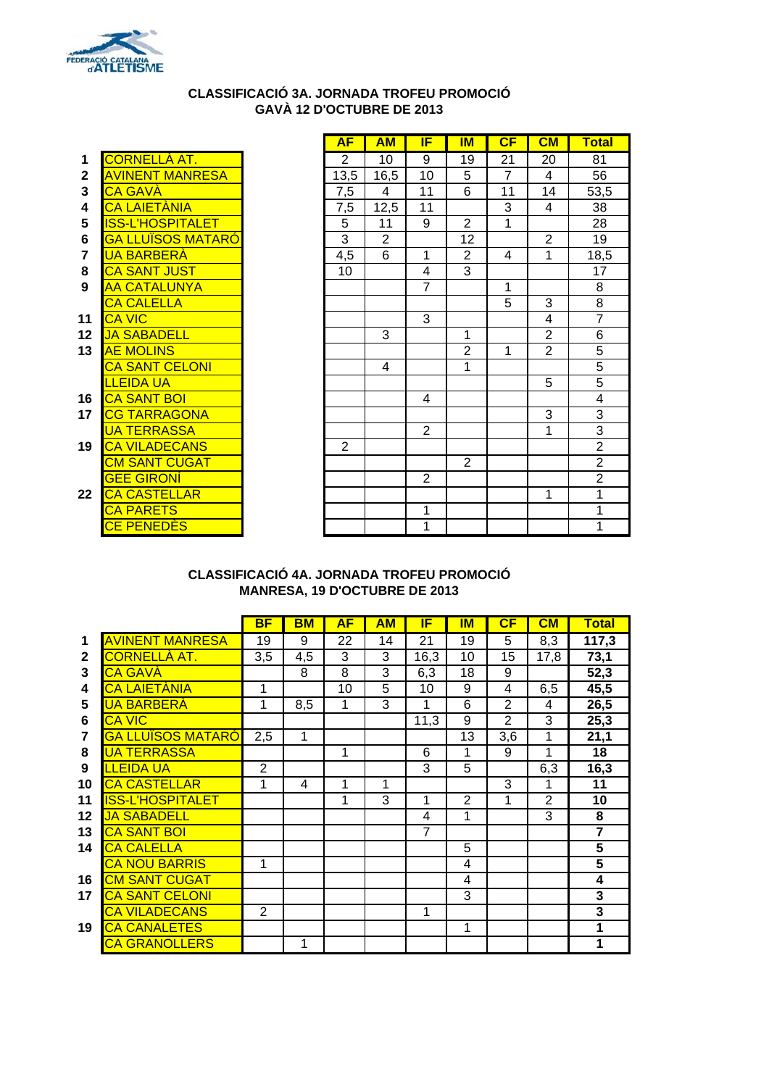

## **CLASSIFICACIÓ 3A. JORNADA TROFEU PROMOCIÓ GAVÀ 12 D'OCTUBRE DE 2013**

| 1              | <u>CORNELLA AT.</u>      |
|----------------|--------------------------|
| $\overline{2}$ | <u>AVINENT MANRESA</u>   |
| 3              | <b>CA GAVÀ</b>           |
| 4              | <b>CA LAIETÀNIA</b>      |
| 5              | <b>ISS-L'HOSPITALET</b>  |
| 6              | <u>GA LLUÏSOS MATARÓ</u> |
| 7              | <u>UA BARBERA</u>        |
| 8              | <u>CA SANT JUST</u>      |
| 9              | <b>AA CATALUNYA</b>      |
|                | <b>CA CALELLA</b>        |
| 11             | CA VIC                   |
| 12             | <b>JA SABADELL</b>       |
| 13             | <b>AE MOLINS</b>         |
|                | <b>CA SANT CELONI</b>    |
|                | LLEIDA UA                |
| 16             | <b>CA SANT BOI</b>       |
| 17             | <b>CG TARRAGONA</b>      |
|                | <u>UA TERRASSA</u>       |
| 19             | CA VILADECANS            |
|                | <b>CM SANT CUGAT</b>     |
|                | <b>GEE GIRONI</b>        |
| 22             | <b>CA CASTELLAR</b>      |
|                | <b>CA PARETS</b>         |
|                | <b>CE PENEDES</b>        |

|                |                           | <b>AF</b>      | <b>AM</b>      | IF             | IМ             | CF | CM             | <b>Total</b>   |
|----------------|---------------------------|----------------|----------------|----------------|----------------|----|----------------|----------------|
| 1              | <u>CORNELLÀ AT.</u>       | 2              | 10             | 9              | 19             | 21 | 20             | 81             |
| $\mathbf{2}$   | <b>AVINENT MANRESA</b>    | 13,5           | 16,5           | 10             | 5              | 7  | 4              | 56             |
| 3              | CA GAVÀ                   | 7,5            | 4              | 11             | 6              | 11 | 14             | 53,5           |
| 4              | <mark>CA LAIETÀNIA</mark> | 7,5            | 12,5           | 11             |                | 3  | $\overline{4}$ | 38             |
| 5              | ISS-L'HOSPITALET          | $\overline{5}$ | 11             | 9              | $\overline{2}$ | 1  |                | 28             |
| 6              | <u>GA LLUÏSOS MATARÓ</u>  | 3              | $\overline{2}$ |                | 12             |    | $\overline{2}$ | 19             |
| $\overline{7}$ | <u>UA BARBERÀ</u>         | 4,5            | 6              | 1              | 2              | 4  | 1              | 18,5           |
| 8              | <b>CA SANT JUST</b>       | 10             |                | $\overline{4}$ | 3              |    |                | 17             |
| 9              | <b>AA CATALUNYA</b>       |                |                | $\overline{7}$ |                | 1  |                | 8              |
|                | <b>CA CALELLA</b>         |                |                |                |                | 5  | 3              | 8              |
| 11             | <b>CA VIC</b>             |                |                | 3              |                |    | 4              | $\overline{7}$ |
| 12             | <b>JA SABADELL</b>        |                | 3              |                | 1              |    | $\overline{2}$ | $\overline{6}$ |
| 13             | <b>AE MOLINS</b>          |                |                |                | 2              | 1  | $\overline{2}$ | $\overline{5}$ |
|                | <b>CA SANT CELONI</b>     |                | 4              |                | 1              |    |                | $\overline{5}$ |
|                | LLEIDA UA                 |                |                |                |                |    | 5              | $\overline{5}$ |
| 16             | <b>CA SANT BOI</b>        |                |                | 4              |                |    |                | $\overline{4}$ |
| 17             | <b>CG TARRAGONA</b>       |                |                |                |                |    | 3              | $\overline{3}$ |
|                | <b>UA TERRASSA</b>        |                |                | $\overline{2}$ |                |    | 1              | $\overline{3}$ |
| 19             | <b>CA VILADECANS</b>      | 2              |                |                |                |    |                | $\overline{2}$ |
|                | <b>CM SANT CUGAT</b>      |                |                |                | 2              |    |                | $\overline{2}$ |
|                | <u>GEE GIRONÍ</u>         |                |                | 2              |                |    |                | $\overline{2}$ |
| 22             | <b>CA CASTELLAR</b>       |                |                |                |                |    | 1              | 1              |
|                | <b>CA PARETS</b>          |                |                | 1              |                |    |                | 1              |
|                | <b>CE PENEDÈS</b>         |                |                | 1              |                |    |                | 1              |

### **CLASSIFICACIÓ 4A. JORNADA TROFEU PROMOCIÓ MANRESA, 19 D'OCTUBRE DE 2013**

|              |                          | <b>BF</b>      | <b>BM</b> | <b>AF</b> | AM | IF   | IM | CF             | CM                      | <b>Total</b>            |
|--------------|--------------------------|----------------|-----------|-----------|----|------|----|----------------|-------------------------|-------------------------|
| 1            | <b>AVINENT MANRESA</b>   | 19             | 9         | 22        | 14 | 21   | 19 | 5              | 8,3                     | 117,3                   |
| $\mathbf{2}$ | <u>CORNELLÀ AT.</u>      | 3,5            | 4,5       | 3         | 3  | 16,3 | 10 | 15             | 17,8                    | 73,1                    |
| 3            | <b>CA GAVÀ</b>           |                | 8         | 8         | 3  | 6,3  | 18 | 9              |                         | 52,3                    |
| 4            | CA LAIETÀNIA             | 1              |           | 10        | 5  | 10   | 9  | 4              | 6,5                     | 45,5                    |
| 5            | <b>UA BARBERÀ</b>        | 1              | 8,5       | 1         | 3  | 1    | 6  | $\overline{2}$ | $\overline{\mathbf{4}}$ | 26,5                    |
| 6            | <b>CA VIC</b>            |                |           |           |    | 11,3 | 9  | $\overline{2}$ | 3                       | 25,3                    |
| 7            | <b>GA LLUÏSOS MATARO</b> | 2,5            | 1         |           |    |      | 13 | 3,6            | 1                       | 21,1                    |
| 8            | <b>UA TERRASSA</b>       |                |           | 1         |    | 6    | 1  | 9              | 1                       | 18                      |
| 9            | <b>LLEIDA UA</b>         | $\overline{2}$ |           |           |    | 3    | 5  |                | 6,3                     | 16,3                    |
| 10           | <b>CA CASTELLAR</b>      | 1              | 4         | 1         | 1  |      |    | 3              | 1                       | 11                      |
| 11           | ISS-L'HOSPITALET         |                |           | 1         | 3  | 1    | 2  | 1              | $\overline{2}$          | 10                      |
| $12 \,$      | <b>JA SABADELL</b>       |                |           |           |    | 4    | 1  |                | 3                       | 8                       |
| 13           | <b>CA SANT BOI</b>       |                |           |           |    | 7    |    |                |                         | $\overline{\mathbf{7}}$ |
| 14           | <b>CA CALELLA</b>        |                |           |           |    |      | 5  |                |                         | 5                       |
|              | <b>CA NOU BARRIS</b>     | 1              |           |           |    |      | 4  |                |                         | 5                       |
| 16           | <u>CM SANT CUGAT</u>     |                |           |           |    |      | 4  |                |                         | 4                       |
| 17           | <b>CA SANT CELONI</b>    |                |           |           |    |      | 3  |                |                         | 3                       |
|              | <b>CA VILADECANS</b>     | $\overline{2}$ |           |           |    | 1    |    |                |                         | 3                       |
| 19           | <b>CA CANALETES</b>      |                |           |           |    |      | 1  |                |                         | 1                       |
|              | <b>CA GRANOLLERS</b>     |                | 1         |           |    |      |    |                |                         | 1                       |